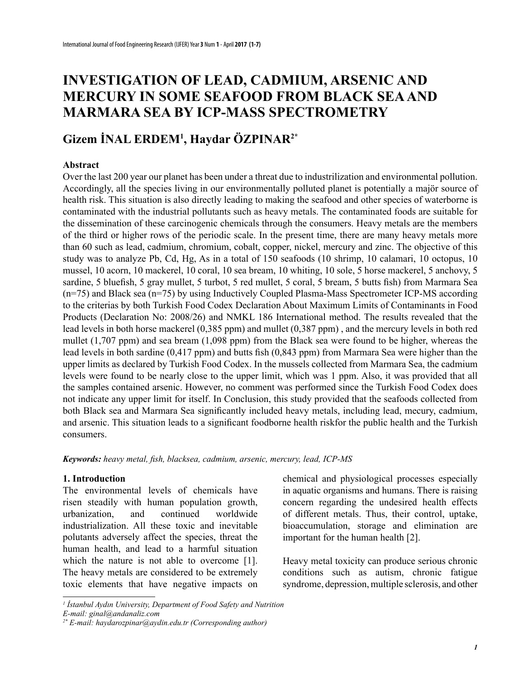# **INVESTIGATION OF LEAD, CADMIUM, ARSENIC AND MERCURY IN SOME SEAFOOD FROM BLACK SEA AND MARMARA SEA BY ICP-MASS SPECTROMETRY**

# **Gizem İNAL ERDEM<sup>1</sup> , Haydar ÖZPINAR2\***

# **Abstract**

Over the last 200 year our planet has been under a threat due to industrilization and environmental pollution. Accordingly, all the species living in our environmentally polluted planet is potentially a majör source of health risk. This situation is also directly leading to making the seafood and other species of waterborne is contaminated with the industrial pollutants such as heavy metals. The contaminated foods are suitable for the dissemination of these carcinogenic chemicals through the consumers. Heavy metals are the members of the third or higher rows of the periodic scale. In the present time, there are many heavy metals more than 60 such as lead, cadmium, chromium, cobalt, copper, nickel, mercury and zinc. The objective of this study was to analyze Pb, Cd, Hg, As in a total of 150 seafoods (10 shrimp, 10 calamari, 10 octopus, 10 mussel, 10 acorn, 10 mackerel, 10 coral, 10 sea bream, 10 whiting, 10 sole, 5 horse mackerel, 5 anchovy, 5 sardine, 5 bluefish, 5 gray mullet, 5 turbot, 5 red mullet, 5 coral, 5 bream, 5 butts fish) from Marmara Sea (n=75) and Black sea (n=75) by using Inductively Coupled Plasma-Mass Spectrometer ICP-MS according to the criterias by both Turkish Food Codex Declaration About Maximum Limits of Contaminants in Food Products (Declaration No: 2008/26) and NMKL 186 International method. The results revealed that the lead levels in both horse mackerel (0,385 ppm) and mullet (0,387 ppm) , and the mercury levels in both red mullet (1,707 ppm) and sea bream (1,098 ppm) from the Black sea were found to be higher, whereas the lead levels in both sardine (0,417 ppm) and butts fish (0,843 ppm) from Marmara Sea were higher than the upper limits as declared by Turkish Food Codex. In the mussels collected from Marmara Sea, the cadmium levels were found to be nearly close to the upper limit, which was 1 ppm. Also, it was provided that all the samples contained arsenic. However, no comment was performed since the Turkish Food Codex does not indicate any upper limit for itself. In Conclusion, this study provided that the seafoods collected from both Black sea and Marmara Sea significantly included heavy metals, including lead, mecury, cadmium, and arsenic. This situation leads to a significant foodborne health riskfor the public health and the Turkish consumers.

*Keywords: heavy metal, fish, blacksea, cadmium, arsenic, mercury, lead, ICP-MS*

# **1. Introduction**

The environmental levels of chemicals have risen steadily with human population growth, urbanization, and continued worldwide industrialization. All these toxic and inevitable polutants adversely affect the species, threat the human health, and lead to a harmful situation which the nature is not able to overcome [1]. The heavy metals are considered to be extremely toxic elements that have negative impacts on

chemical and physiological processes especially in aquatic organisms and humans. There is raising concern regarding the undesired health effects of different metals. Thus, their control, uptake, bioaccumulation, storage and elimination are important for the human health [2].

Heavy metal toxicity can produce serious chronic conditions such as autism, chronic fatigue syndrome, depression, multiple sclerosis, and other

*<sup>1</sup> İstanbul Aydın University, Department of Food Safety and Nutrition E-mail: ginal@andanaliz.com*

*<sup>2\*</sup> E-mail: haydarozpinar@aydin.edu.tr (Corresponding author)*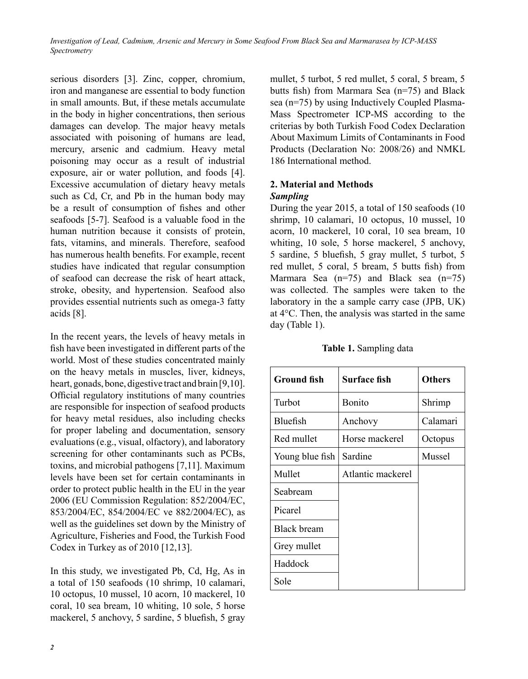*Investigation of Lead, Cadmium, Arsenic and Mercury in Some Seafood From Black Sea and Marmarasea by ICP-MASS Spectrometry*

serious disorders [3]. Zinc, copper, chromium, iron and manganese are essential to body function in small amounts. But, if these metals accumulate in the body in higher concentrations, then serious damages can develop. The major heavy metals associated with poisoning of humans are lead, mercury, arsenic and cadmium. Heavy metal poisoning may occur as a result of industrial exposure, air or water pollution, and foods [4]. Excessive accumulation of dietary heavy metals such as Cd, Cr, and Pb in the human body may be a result of consumption of fishes and other seafoods [5-7]. Seafood is a valuable food in the human nutrition because it consists of protein, fats, vitamins, and minerals. Therefore, seafood has numerous health benefits. For example, recent studies have indicated that regular consumption of seafood can decrease the risk of heart attack, stroke, obesity, and hypertension. Seafood also provides essential nutrients such as omega-3 fatty acids [8].

In the recent years, the levels of heavy metals in fish have been investigated in different parts of the world. Most of these studies concentrated mainly on the heavy metals in muscles, liver, kidneys, heart, gonads, bone, digestive tract and brain [9,10]. Official regulatory institutions of many countries are responsible for inspection of seafood products for heavy metal residues, also including checks for proper labeling and documentation, sensory evaluations (e.g., visual, olfactory), and laboratory screening for other contaminants such as PCBs, toxins, and microbial pathogens [7,11]. Maximum levels have been set for certain contaminants in order to protect public health in the EU in the year 2006 (EU Commission Regulation: 852/2004/EC, 853/2004/EC, 854/2004/EC ve 882/2004/EC), as well as the guidelines set down by the Ministry of Agriculture, Fisheries and Food, the Turkish Food Codex in Turkey as of 2010 [12,13].

In this study, we investigated Pb, Cd, Hg, As in a total of 150 seafoods (10 shrimp, 10 calamari, 10 octopus, 10 mussel, 10 acorn, 10 mackerel, 10 coral, 10 sea bream, 10 whiting, 10 sole, 5 horse mackerel, 5 anchovy, 5 sardine, 5 bluefish, 5 gray

mullet, 5 turbot, 5 red mullet, 5 coral, 5 bream, 5 butts fish) from Marmara Sea (n=75) and Black sea (n=75) by using Inductively Coupled Plasma-Mass Spectrometer ICP-MS according to the criterias by both Turkish Food Codex Declaration About Maximum Limits of Contaminants in Food Products (Declaration No: 2008/26) and NMKL 186 International method.

# **2. Material and Methods** *Sampling*

During the year 2015, a total of 150 seafoods (10 shrimp, 10 calamari, 10 octopus, 10 mussel, 10 acorn, 10 mackerel, 10 coral, 10 sea bream, 10 whiting, 10 sole, 5 horse mackerel, 5 anchovy, 5 sardine, 5 bluefish, 5 gray mullet, 5 turbot, 5 red mullet, 5 coral, 5 bream, 5 butts fish) from Marmara Sea (n=75) and Black sea (n=75) was collected. The samples were taken to the laboratory in the a sample carry case (JPB, UK) at 4°C. Then, the analysis was started in the same day (Table 1).

| <b>Ground fish</b> | Surface fish      | <b>Others</b> |
|--------------------|-------------------|---------------|
| Turbot             | Bonito            | Shrimp        |
| <b>Bluefish</b>    | Anchovy           | Calamari      |
| Red mullet         | Horse mackerel    | Octopus       |
| Young blue fish    | Sardine           | Mussel        |
| Mullet             | Atlantic mackerel |               |
| Seabream           |                   |               |
| Picarel            |                   |               |
| <b>Black bream</b> |                   |               |
| Grey mullet        |                   |               |
| Haddock            |                   |               |
| Sole               |                   |               |

# **Table 1.** Sampling data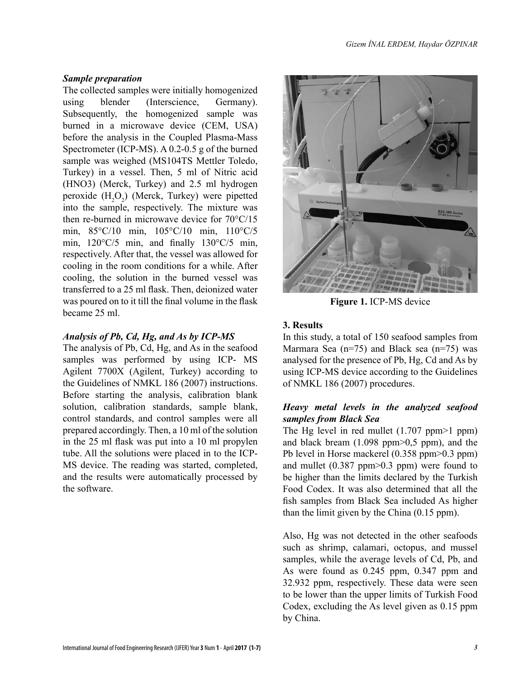#### *Gizem İNAL ERDEM, Haydar ÖZPINAR*

#### *Sample preparation*

The collected samples were initially homogenized using blender (Interscience, Germany). Subsequently, the homogenized sample was burned in a microwave device (CEM, USA) before the analysis in the Coupled Plasma-Mass Spectrometer (ICP-MS). A 0.2-0.5 g of the burned sample was weighed (MS104TS Mettler Toledo, Turkey) in a vessel. Then, 5 ml of Nitric acid (HNO3) (Merck, Turkey) and 2.5 ml hydrogen peroxide  $(H_2O_2)$  (Merck, Turkey) were pipetted into the sample, respectively. The mixture was then re-burned in microwave device for 70°C/15 min, 85°C/10 min, 105°C/10 min, 110°C/5 min,  $120^{\circ}$ C/5 min, and finally  $130^{\circ}$ C/5 min, respectively. After that, the vessel was allowed for cooling in the room conditions for a while. After cooling, the solution in the burned vessel was transferred to a 25 ml flask. Then, deionized water was poured on to it till the final volume in the flask became 25 ml.

#### *Analysis of Pb, Cd, Hg, and As by ICP-MS*

The analysis of Pb, Cd, Hg, and As in the seafood samples was performed by using ICP- MS Agilent 7700X (Agilent, Turkey) according to the Guidelines of NMKL 186 (2007) instructions. Before starting the analysis, calibration blank solution, calibration standards, sample blank, control standards, and control samples were all prepared accordingly. Then, a 10 ml of the solution in the 25 ml flask was put into a 10 ml propylen tube. All the solutions were placed in to the ICP-MS device. The reading was started, completed, and the results were automatically processed by the software.



**Figure 1.** ICP-MS device

#### **3. Results**

In this study, a total of 150 seafood samples from Marmara Sea  $(n=75)$  and Black sea  $(n=75)$  was analysed for the presence of Pb, Hg, Cd and As by using ICP-MS device according to the Guidelines of NMKL 186 (2007) procedures.

# *Heavy metal levels in the analyzed seafood samples from Black Sea*

The Hg level in red mullet (1.707 ppm>1 ppm) and black bream  $(1.098 \text{ ppm} > 0.5 \text{ ppm})$ , and the Pb level in Horse mackerel (0.358 ppm>0.3 ppm) and mullet  $(0.387$  ppm $> 0.3$  ppm) were found to be higher than the limits declared by the Turkish Food Codex. It was also determined that all the fish samples from Black Sea included As higher than the limit given by the China (0.15 ppm).

Also, Hg was not detected in the other seafoods such as shrimp, calamari, octopus, and mussel samples, while the average levels of Cd, Pb, and As were found as 0.245 ppm, 0.347 ppm and 32.932 ppm, respectively. These data were seen to be lower than the upper limits of Turkish Food Codex, excluding the As level given as 0.15 ppm by China.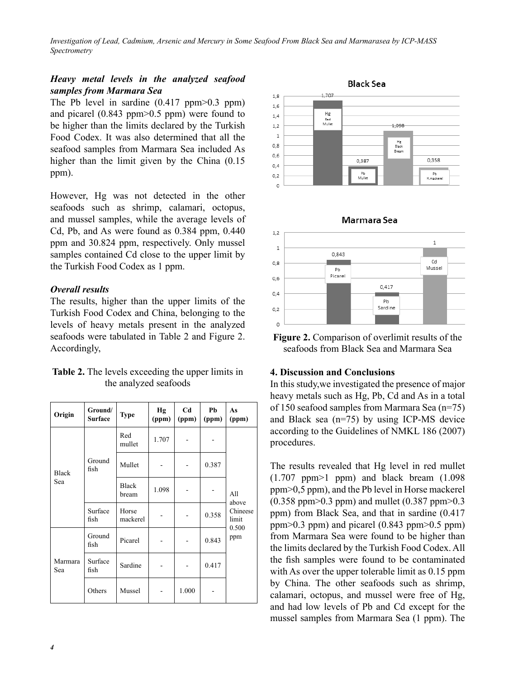*Investigation of Lead, Cadmium, Arsenic and Mercury in Some Seafood From Black Sea and Marmarasea by ICP-MASS Spectrometry*

## *Heavy metal levels in the analyzed seafood samples from Marmara Sea*

The Pb level in sardine  $(0.417 \text{ ppm} > 0.3 \text{ ppm})$ and picarel (0.843 ppm>0.5 ppm) were found to be higher than the limits declared by the Turkish Food Codex. It was also determined that all the seafood samples from Marmara Sea included As higher than the limit given by the China (0.15 ppm).

However, Hg was not detected in the other seafoods such as shrimp, calamari, octopus, and mussel samples, while the average levels of Cd, Pb, and As were found as 0.384 ppm, 0.440 ppm and 30.824 ppm, respectively. Only mussel samples contained Cd close to the upper limit by the Turkish Food Codex as 1 ppm.

### *Overall results*

The results, higher than the upper limits of the Turkish Food Codex and China, belonging to the levels of heavy metals present in the analyzed seafoods were tabulated in Table 2 and Figure 2. Accordingly,

|  | <b>Table 2.</b> The levels exceeding the upper limits in |  |
|--|----------------------------------------------------------|--|
|  | the analyzed seafoods                                    |  |

| Origin              | Ground/<br><b>Surface</b> | <b>Type</b>           | Hg<br>(ppm) | C <sub>d</sub><br>(ppm) | Pb<br>(ppm) | As<br>(ppm)                                       |
|---------------------|---------------------------|-----------------------|-------------|-------------------------|-------------|---------------------------------------------------|
| <b>Black</b><br>Sea | Ground<br>fish            | Red<br>mullet         | 1.707       |                         |             | All<br>above<br>Chineese<br>limit<br>0.500<br>ppm |
|                     |                           | Mullet                |             |                         | 0.387       |                                                   |
|                     |                           | <b>Black</b><br>bream | 1.098       |                         |             |                                                   |
|                     | Surface<br>fish           | Horse<br>mackerel     |             |                         | 0.358       |                                                   |
| Marmara<br>Sea      | Ground<br>fish            | Picarel               |             |                         | 0.843       |                                                   |
|                     | Surface<br>fish           | Sardine               |             |                         | 0.417       |                                                   |
|                     | Others                    | Mussel                |             | 1.000                   |             |                                                   |





**Figure 2.** Comparison of overlimit results of the seafoods from Black Sea and Marmara Sea

## **4. Discussion and Conclusions**

In this study,we investigated the presence of major heavy metals such as Hg, Pb, Cd and As in a total of 150 seafood samples from Marmara Sea (n=75) and Black sea (n=75) by using ICP-MS device according to the Guidelines of NMKL 186 (2007) procedures.

The results revealed that Hg level in red mullet  $(1.707 \text{ ppm} > 1 \text{ ppm})$  and black bream  $(1.098$ ppm>0,5 ppm), and the Pb level in Horse mackerel  $(0.358 \text{ ppm} > 0.3 \text{ ppm})$  and mullet  $(0.387 \text{ ppm} > 0.3 \text{ mm})$ ppm) from Black Sea, and that in sardine (0.417 ppm $>0.3$  ppm) and picarel (0.843 ppm $>0.5$  ppm) from Marmara Sea were found to be higher than the limits declared by the Turkish Food Codex. All the fish samples were found to be contaminated with As over the upper tolerable limit as 0.15 ppm by China. The other seafoods such as shrimp, calamari, octopus, and mussel were free of Hg, and had low levels of Pb and Cd except for the mussel samples from Marmara Sea (1 ppm). The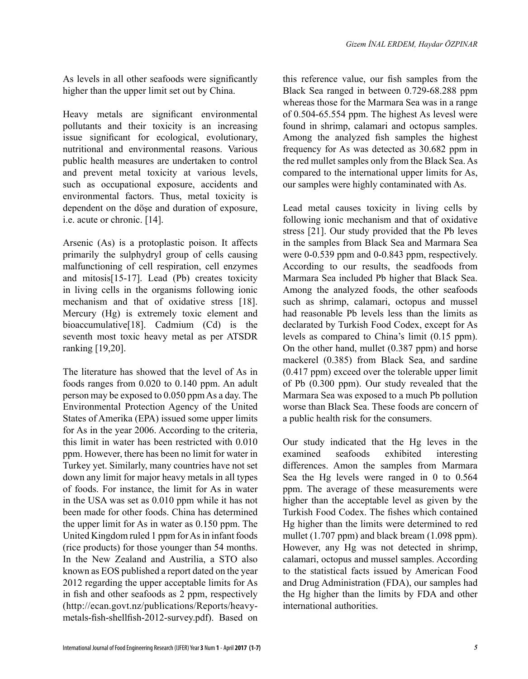As levels in all other seafoods were significantly higher than the upper limit set out by China.

Heavy metals are significant environmental pollutants and their toxicity is an increasing issue significant for ecological, evolutionary, nutritional and environmental reasons. Various public health measures are undertaken to control and prevent metal toxicity at various levels, such as occupational exposure, accidents and environmental factors. Thus, metal toxicity is dependent on the döşe and duration of exposure, i.e. acute or chronic. [14].

Arsenic (As) is a protoplastic poison. It affects primarily the sulphydryl group of cells causing malfunctioning of cell respiration, cell enzymes and mitosis[15-17]. Lead (Pb) creates toxicity in living cells in the organisms following ionic mechanism and that of oxidative stress [18]. Mercury (Hg) is extremely toxic element and bioaccumulative[18]. Cadmium (Cd) is the seventh most toxic heavy metal as per ATSDR ranking [19,20].

The literature has showed that the level of As in foods ranges from 0.020 to 0.140 ppm. An adult person may be exposed to 0.050 ppm As a day. The Environmental Protection Agency of the United States of Amerika (EPA) issued some upper limits for As in the year 2006. According to the criteria, this limit in water has been restricted with 0.010 ppm. However, there has been no limit for water in Turkey yet. Similarly, many countries have not set down any limit for major heavy metals in all types of foods. For instance, the limit for As in water in the USA was set as 0.010 ppm while it has not been made for other foods. China has determined the upper limit for As in water as 0.150 ppm. The United Kingdom ruled 1 ppm for As in infant foods (rice products) for those younger than 54 months. In the New Zealand and Austrilia, a STO also known as EOS published a report dated on the year 2012 regarding the upper acceptable limits for As in fish and other seafoods as 2 ppm, respectively (http://ecan.govt.nz/publications/Reports/heavymetals-fish-shellfish-2012-survey.pdf). Based on this reference value, our fish samples from the Black Sea ranged in between 0.729-68.288 ppm whereas those for the Marmara Sea was in a range of 0.504-65.554 ppm. The highest As levesl were found in shrimp, calamari and octopus samples. Among the analyzed fish samples the highest frequency for As was detected as 30.682 ppm in the red mullet samples only from the Black Sea. As compared to the international upper limits for As, our samples were highly contaminated with As.

Lead metal causes toxicity in living cells by following ionic mechanism and that of oxidative stress [21]. Our study provided that the Pb leves in the samples from Black Sea and Marmara Sea were 0-0.539 ppm and 0-0.843 ppm, respectively. According to our results, the seadfoods from Marmara Sea included Pb higher that Black Sea. Among the analyzed foods, the other seafoods such as shrimp, calamari, octopus and mussel had reasonable Pb levels less than the limits as declarated by Turkish Food Codex, except for As levels as compared to China's limit (0.15 ppm). On the other hand, mullet (0.387 ppm) and horse mackerel (0.385) from Black Sea, and sardine (0.417 ppm) exceed over the tolerable upper limit of Pb (0.300 ppm). Our study revealed that the Marmara Sea was exposed to a much Pb pollution worse than Black Sea. These foods are concern of a public health risk for the consumers.

Our study indicated that the Hg leves in the examined seafoods exhibited interesting differences. Amon the samples from Marmara Sea the Hg levels were ranged in 0 to 0.564 ppm. The average of these measurements were higher than the acceptable level as given by the Turkish Food Codex. The fishes which contained Hg higher than the limits were determined to red mullet (1.707 ppm) and black bream (1.098 ppm). However, any Hg was not detected in shrimp, calamari, octopus and mussel samples. According to the statistical facts issued by American Food and Drug Administration (FDA), our samples had the Hg higher than the limits by FDA and other international authorities.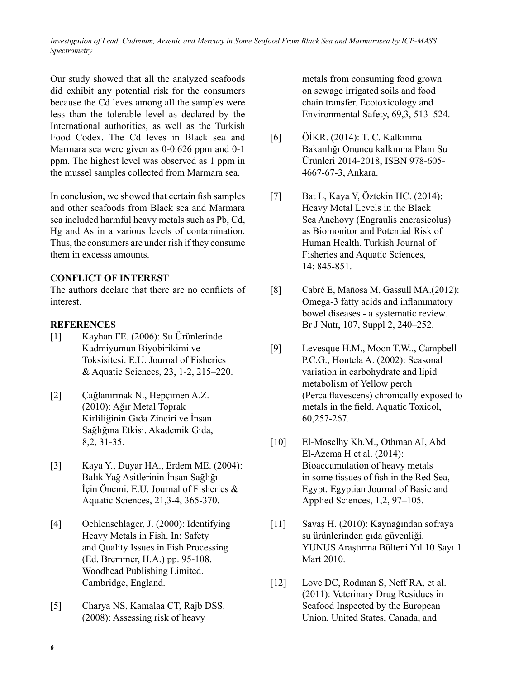*Investigation of Lead, Cadmium, Arsenic and Mercury in Some Seafood From Black Sea and Marmarasea by ICP-MASS Spectrometry*

Our study showed that all the analyzed seafoods did exhibit any potential risk for the consumers because the Cd leves among all the samples were less than the tolerable level as declared by the International authorities, as well as the Turkish Food Codex. The Cd leves in Black sea and Marmara sea were given as 0-0.626 ppm and 0-1 ppm. The highest level was observed as 1 ppm in the mussel samples collected from Marmara sea.

In conclusion, we showed that certain fish samples and other seafoods from Black sea and Marmara sea included harmful heavy metals such as Pb, Cd, Hg and As in a various levels of contamination. Thus, the consumers are under rish if they consume them in excesss amounts.

# **CONFLICT OF INTEREST**

The authors declare that there are no conflicts of interest.

## **REFERENCES**

- [1] Kayhan FE. (2006): Su Ürünlerinde Kadmiyumun Biyobirikimi ve Toksisitesi. E.U. Journal of Fisheries & Aquatic Sciences, 23, 1-2, 215–220.
- [2] Çağlanırmak N., Hepçimen A.Z. (2010): Ağır Metal Toprak Kirliliğinin Gıda Zinciri ve İnsan Sağlığına Etkisi. Akademik Gıda, 8,2, 31-35.
- [3] Kaya Y., Duyar HA., Erdem ME. (2004): Balık Yağ Asitlerinin İnsan Sağlığı İçin Önemi. E.U. Journal of Fisheries & Aquatic Sciences, 21,3-4, 365-370.
- [4] Oehlenschlager, J. (2000): Identifying Heavy Metals in Fish. In: Safety and Quality Issues in Fish Processing (Ed. Bremmer, H.A.) pp. 95-108. Woodhead Publishing Limited. Cambridge, England.
- [5] Charya NS, Kamalaa CT, Rajb DSS. (2008): Assessing risk of heavy

metals from consuming food grown on sewage irrigated soils and food chain transfer. Ecotoxicology and Environmental Safety, 69,3, 513–524.

- [6] ÖİKR. (2014): T. C. Kalkınma Bakanlığı Onuncu kalkınma Planı Su Ürünleri 2014-2018, ISBN 978-605- 4667-67-3, Ankara.
- [7] Bat L, Kaya Y, Öztekin HC. (2014): Heavy Metal Levels in the Black Sea Anchovy (Engraulis encrasicolus) as Biomonitor and Potential Risk of Human Health. Turkish Journal of Fisheries and Aquatic Sciences, 14: 845-851.
- [8] Cabré E, Mañosa M, Gassull MA.(2012): Omega-3 fatty acids and inflammatory bowel diseases - a systematic review. Br J Nutr, 107, Suppl 2, 240–252.
- [9] Levesque H.M., Moon T.W.., Campbell P.C.G., Hontela A. (2002): Seasonal variation in carbohydrate and lipid metabolism of Yellow perch (Perca flavescens) chronically exposed to metals in the field. Aquatic Toxicol, 60,257-267.
- [10] El-Moselhy Kh.M., Othman AI, Abd El-Azema H et al. (2014): Bioaccumulation of heavy metals in some tissues of fish in the Red Sea, Egypt. Egyptian Journal of Basic and Applied Sciences, 1,2, 97–105.
- [11] Savaş H. (2010): Kaynağından sofraya su ürünlerinden gıda güvenliği. YUNUS Araştırma Bülteni Yıl 10 Sayı 1 Mart 2010.
- [12] Love DC, Rodman S, Neff RA, et al. (2011): Veterinary Drug Residues in Seafood Inspected by the European Union, United States, Canada, and